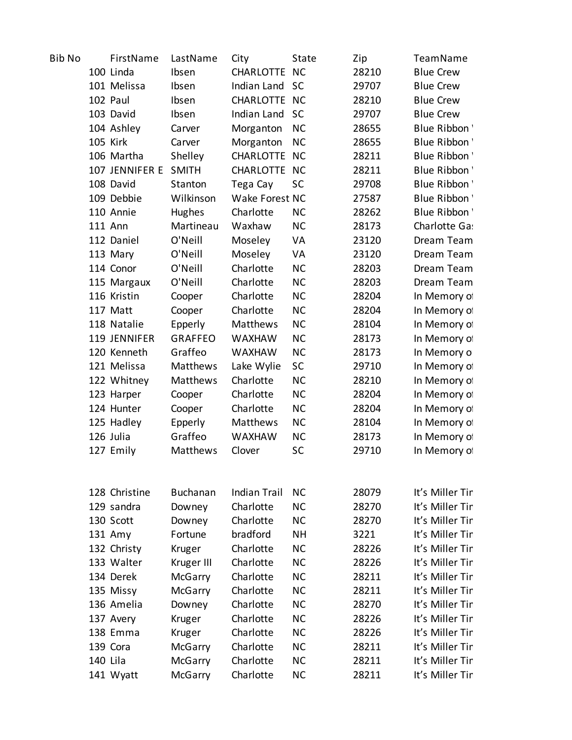| Bib No |                 | FirstName            | LastName        | City                | State                  | Zip            | TeamName                           |
|--------|-----------------|----------------------|-----------------|---------------------|------------------------|----------------|------------------------------------|
|        |                 | 100 Linda            | Ibsen           | CHARLOTTE NC        |                        | 28210          | <b>Blue Crew</b>                   |
|        |                 | 101 Melissa          | Ibsen           | Indian Land SC      |                        | 29707          | <b>Blue Crew</b>                   |
|        |                 | 102 Paul             | Ibsen           | CHARLOTTE NC        |                        | 28210          | <b>Blue Crew</b>                   |
|        |                 | 103 David            | Ibsen           | Indian Land SC      |                        | 29707          | <b>Blue Crew</b>                   |
|        |                 | 104 Ashley           | Carver          | Morganton           | <b>NC</b>              | 28655          | Blue Ribbon'                       |
|        | <b>105 Kirk</b> |                      | Carver          | Morganton           | <b>NC</b>              | 28655          | Blue Ribbon'                       |
|        |                 | 106 Martha           | Shelley         | CHARLOTTE NC        |                        | 28211          | Blue Ribbon'                       |
|        |                 | 107 JENNIFER E SMITH |                 | CHARLOTTE NC        |                        | 28211          | Blue Ribbon'                       |
|        |                 | 108 David            | Stanton         | Tega Cay            | <b>SC</b>              | 29708          | Blue Ribbon'                       |
|        |                 | 109 Debbie           | Wilkinson       | Wake Forest NC      |                        | 27587          | Blue Ribbon'                       |
|        |                 | 110 Annie            | Hughes          | Charlotte           | <b>NC</b>              | 28262          | Blue Ribbon'                       |
|        | 111 Ann         |                      | Martineau       | Waxhaw              | <b>NC</b>              | 28173          | Charlotte Ga:                      |
|        |                 | 112 Daniel           | O'Neill         | Moseley             | VA                     | 23120          | Dream Team                         |
|        |                 | 113 Mary             | O'Neill         | Moseley             | VA                     | 23120          | Dream Team                         |
|        |                 | 114 Conor            | O'Neill         | Charlotte           | <b>NC</b>              | 28203          | Dream Team                         |
|        |                 | 115 Margaux          | O'Neill         | Charlotte           | <b>NC</b>              | 28203          | Dream Team                         |
|        |                 | 116 Kristin          | Cooper          | Charlotte           | <b>NC</b>              | 28204          | In Memory of                       |
|        |                 | 117 Matt             | Cooper          | Charlotte           | <b>NC</b>              | 28204          | In Memory of                       |
|        |                 | 118 Natalie          | Epperly         | Matthews            | <b>NC</b>              | 28104          | In Memory of                       |
|        |                 | 119 JENNIFER         | <b>GRAFFEO</b>  | <b>WAXHAW</b>       | <b>NC</b>              | 28173          | In Memory of                       |
|        |                 | 120 Kenneth          | Graffeo         | <b>WAXHAW</b>       | <b>NC</b>              | 28173          | In Memory o                        |
|        |                 | 121 Melissa          | Matthews        | Lake Wylie          | <b>SC</b>              | 29710          | In Memory of                       |
|        |                 | 122 Whitney          | Matthews        | Charlotte           | <b>NC</b>              | 28210          | In Memory of                       |
|        |                 | 123 Harper           | Cooper          | Charlotte           | <b>NC</b>              | 28204          | In Memory of                       |
|        |                 | 124 Hunter           | Cooper          | Charlotte           | <b>NC</b>              | 28204          | In Memory of                       |
|        |                 | 125 Hadley           | Epperly         | Matthews            | <b>NC</b>              | 28104          | In Memory of                       |
|        |                 | 126 Julia            | Graffeo         | <b>WAXHAW</b>       | <b>NC</b>              | 28173          | In Memory of                       |
|        |                 | 127 Emily            | Matthews        | Clover              | SC                     | 29710          | In Memory of                       |
|        |                 |                      |                 |                     |                        |                |                                    |
|        |                 |                      |                 |                     |                        |                |                                    |
|        |                 | 128 Christine        | <b>Buchanan</b> | <b>Indian Trail</b> | <b>NC</b>              | 28079          | It's Miller Tin                    |
|        |                 | 129 sandra           | Downey          | Charlotte           | <b>NC</b>              | 28270          | It's Miller Tin                    |
|        |                 | 130 Scott            | Downey          | Charlotte           | <b>NC</b>              | 28270          | It's Miller Tin                    |
|        |                 | 131 Amy              | Fortune         | bradford            | <b>NH</b>              | 3221           | It's Miller Tin                    |
|        |                 | 132 Christy          | Kruger          | Charlotte           | <b>NC</b>              | 28226          | It's Miller Tin                    |
|        |                 | 133 Walter           | Kruger III      | Charlotte           | <b>NC</b>              | 28226          | It's Miller Tin                    |
|        |                 | 134 Derek            | McGarry         | Charlotte           | <b>NC</b>              | 28211          | It's Miller Tin                    |
|        |                 | 135 Missy            | McGarry         | Charlotte           | <b>NC</b>              | 28211          | It's Miller Tin                    |
|        |                 | 136 Amelia           | Downey          | Charlotte           | <b>NC</b>              | 28270          | It's Miller Tin                    |
|        |                 | 137 Avery            | Kruger          | Charlotte           | <b>NC</b>              | 28226          | It's Miller Tin                    |
|        |                 | 138 Emma             | Kruger          | Charlotte           | <b>NC</b>              | 28226          | It's Miller Tin<br>It's Miller Tin |
|        | 140 Lila        | 139 Cora             | McGarry         | Charlotte           | <b>NC</b><br><b>NC</b> | 28211<br>28211 | It's Miller Tin                    |
|        |                 |                      | McGarry         | Charlotte           |                        | 28211          | It's Miller Tin                    |
|        |                 | 141 Wyatt            | McGarry         | Charlotte           | <b>NC</b>              |                |                                    |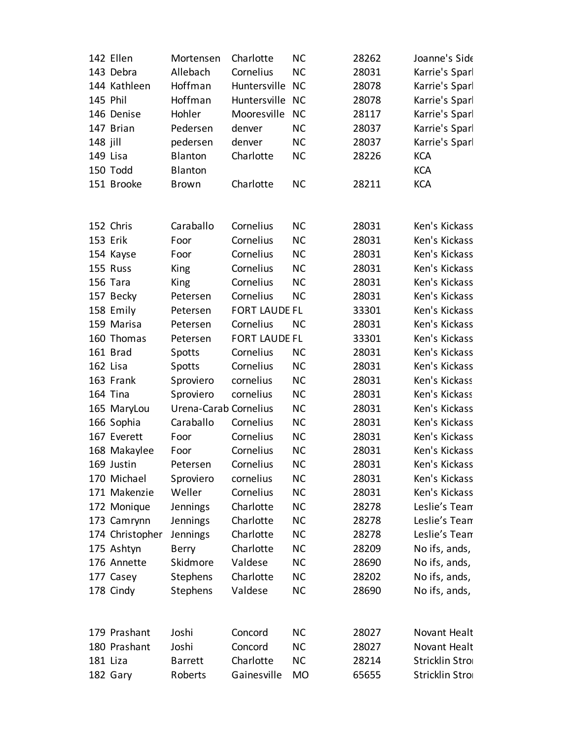|          | 142 Ellen       | Mortensen             | Charlotte            | <b>NC</b> | 28262 | Joanne's Side  |
|----------|-----------------|-----------------------|----------------------|-----------|-------|----------------|
|          | 143 Debra       | Allebach              | Cornelius            | <b>NC</b> | 28031 | Karrie's Sparl |
|          | 144 Kathleen    | Hoffman               | Huntersville         | <b>NC</b> | 28078 | Karrie's Sparl |
|          | 145 Phil        | Hoffman               | Huntersville         | <b>NC</b> | 28078 | Karrie's Sparl |
|          | 146 Denise      | Hohler                | Mooresville          | <b>NC</b> | 28117 | Karrie's Sparl |
|          | 147 Brian       | Pedersen              | denver               | <b>NC</b> | 28037 | Karrie's Sparl |
| 148 jill |                 | pedersen              | denver               | <b>NC</b> | 28037 | Karrie's Sparl |
|          | 149 Lisa        | Blanton               | Charlotte            | <b>NC</b> | 28226 | <b>KCA</b>     |
|          | 150 Todd        | Blanton               |                      |           |       | <b>KCA</b>     |
|          | 151 Brooke      | <b>Brown</b>          | Charlotte            | <b>NC</b> | 28211 | <b>KCA</b>     |
|          |                 |                       |                      |           |       |                |
|          |                 |                       |                      |           |       |                |
|          | 152 Chris       | Caraballo             | Cornelius            | <b>NC</b> | 28031 | Ken's Kickass  |
|          | 153 Erik        | Foor                  | Cornelius            | <b>NC</b> | 28031 | Ken's Kickass  |
|          | 154 Kayse       | Foor                  | Cornelius            | <b>NC</b> | 28031 | Ken's Kickass  |
|          | 155 Russ        | King                  | Cornelius            | <b>NC</b> | 28031 | Ken's Kickass  |
|          | 156 Tara        | King                  | Cornelius            | <b>NC</b> | 28031 | Ken's Kickass  |
|          | 157 Becky       | Petersen              | Cornelius            | <b>NC</b> | 28031 | Ken's Kickass  |
|          | 158 Emily       | Petersen              | <b>FORT LAUDE FL</b> |           | 33301 | Ken's Kickass  |
|          | 159 Marisa      | Petersen              | Cornelius            | <b>NC</b> | 28031 | Ken's Kickass  |
|          | 160 Thomas      | Petersen              | <b>FORT LAUDE FL</b> |           | 33301 | Ken's Kickass  |
|          | 161 Brad        | Spotts                | Cornelius            | <b>NC</b> | 28031 | Ken's Kickass  |
|          | 162 Lisa        | <b>Spotts</b>         | Cornelius            | <b>NC</b> | 28031 | Ken's Kickass  |
|          | 163 Frank       | Sproviero             | cornelius            | <b>NC</b> | 28031 | Ken's Kickass  |
|          | 164 Tina        | Sproviero             | cornelius            | <b>NC</b> | 28031 | Ken's Kickass  |
|          | 165 MaryLou     | Urena-Carab Cornelius |                      | <b>NC</b> | 28031 | Ken's Kickass  |
|          | 166 Sophia      | Caraballo             | Cornelius            | <b>NC</b> | 28031 | Ken's Kickass  |
|          | 167 Everett     | Foor                  | Cornelius            | NC        | 28031 | Ken's Kickass  |
|          | 168 Makaylee    | Foor                  | Cornelius            | <b>NC</b> | 28031 | Ken's Kickass  |
|          | 169 Justin      | Petersen              | Cornelius            | <b>NC</b> | 28031 | Ken's Kickass  |
|          | 170 Michael     | Sproviero             | cornelius            | <b>NC</b> | 28031 | Ken's Kickass  |
|          | 171 Makenzie    | Weller                | Cornelius            | <b>NC</b> | 28031 | Ken's Kickass  |
|          | 172 Monique     | Jennings              | Charlotte            | <b>NC</b> | 28278 | Leslie's Tean  |
|          | 173 Camrynn     | Jennings              | Charlotte            | <b>NC</b> | 28278 | Leslie's Tean  |
|          | 174 Christopher | Jennings              | Charlotte            | <b>NC</b> | 28278 | Leslie's Tean  |
|          | 175 Ashtyn      | Berry                 | Charlotte            | <b>NC</b> | 28209 | No ifs, ands,  |
|          | 176 Annette     | Skidmore              | Valdese              | <b>NC</b> | 28690 | No ifs, ands,  |
|          | 177 Casey       | Stephens              | Charlotte            | <b>NC</b> | 28202 | No ifs, ands,  |
|          | 178 Cindy       | Stephens              | Valdese              | <b>NC</b> | 28690 | No ifs, ands,  |
|          |                 |                       |                      |           |       |                |
|          |                 |                       |                      |           |       |                |
|          | 179 Prashant    | Joshi                 | Concord              | <b>NC</b> | 28027 | Novant Healt   |
|          | 180 Prashant    | Joshi                 | Concord              | <b>NC</b> | 28027 | Novant Healt   |
|          | 181 Liza        | <b>Barrett</b>        | Charlotte            | <b>NC</b> | 28214 | Stricklin Stro |
|          | 182 Gary        | Roberts               | Gainesville          | <b>MO</b> | 65655 | Stricklin Stro |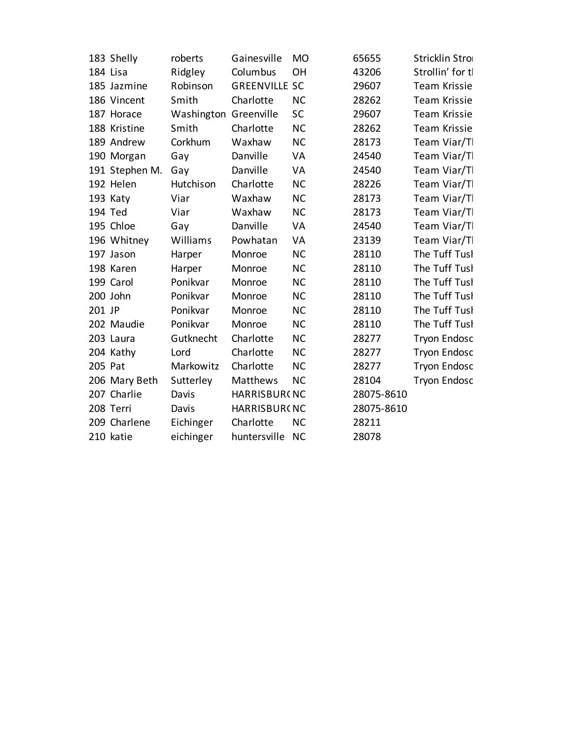|         | 183 Shelly     | roberts               | Gainesville          | <b>MO</b> | 65655      | Stricklin Stro      |
|---------|----------------|-----------------------|----------------------|-----------|------------|---------------------|
|         | 184 Lisa       | Ridgley               | Columbus             | OH        | 43206      | Strollin' for tl    |
|         | 185 Jazmine    | Robinson              | <b>GREENVILLE SC</b> |           | 29607      | Team Krissie        |
|         | 186 Vincent    | Smith                 | Charlotte            | <b>NC</b> | 28262      | <b>Team Krissie</b> |
|         | 187 Horace     | Washington Greenville |                      | <b>SC</b> | 29607      | Team Krissie        |
|         | 188 Kristine   | Smith                 | Charlotte            | <b>NC</b> | 28262      | <b>Team Krissie</b> |
|         | 189 Andrew     | Corkhum               | Waxhaw               | <b>NC</b> | 28173      | Team Viar/Tl        |
|         | 190 Morgan     | Gay                   | Danville             | VA        | 24540      | Team Viar/Tl        |
|         | 191 Stephen M. | Gay                   | Danville             | VA        | 24540      | Team Viar/Tl        |
|         | 192 Helen      | Hutchison             | Charlotte            | <b>NC</b> | 28226      | Team Viar/Tl        |
|         | 193 Katy       | Viar                  | Waxhaw               | <b>NC</b> | 28173      | Team Viar/T         |
|         | 194 Ted        | Viar                  | Waxhaw               | <b>NC</b> | 28173      | Team Viar/Tl        |
|         | 195 Chloe      | Gay                   | Danville             | VA        | 24540      | Team Viar/Tl        |
|         | 196 Whitney    | Williams              | Powhatan             | VA        | 23139      | Team Viar/Tl        |
|         | 197 Jason      | Harper                | Monroe               | <b>NC</b> | 28110      | The Tuff Tusl       |
|         | 198 Karen      | Harper                | Monroe               | <b>NC</b> | 28110      | The Tuff Tusl       |
|         | 199 Carol      | Ponikvar              | Monroe               | <b>NC</b> | 28110      | The Tuff Tusl       |
|         | 200 John       | Ponikvar              | Monroe               | <b>NC</b> | 28110      | The Tuff Tusl       |
| 201 JP  |                | Ponikvar              | Monroe               | <b>NC</b> | 28110      | The Tuff Tusl       |
|         | 202 Maudie     | Ponikvar              | Monroe               | <b>NC</b> | 28110      | The Tuff Tusl       |
|         | 203 Laura      | Gutknecht             | Charlotte            | <b>NC</b> | 28277      | <b>Tryon Endosc</b> |
|         | 204 Kathy      | Lord                  | Charlotte            | <b>NC</b> | 28277      | <b>Tryon Endosc</b> |
| 205 Pat |                | Markowitz             | Charlotte            | <b>NC</b> | 28277      | <b>Tryon Endosc</b> |
|         | 206 Mary Beth  | Sutterley             | Matthews             | <b>NC</b> | 28104      | <b>Tryon Endosc</b> |
|         | 207 Charlie    | Davis                 | <b>HARRISBUR(NC</b>  |           | 28075-8610 |                     |
|         | 208 Terri      | Davis                 | HARRISBUR(NC         |           | 28075-8610 |                     |
|         | 209 Charlene   | Eichinger             | Charlotte            | <b>NC</b> | 28211      |                     |
|         | 210 katie      | eichinger             | huntersville         | <b>NC</b> | 28078      |                     |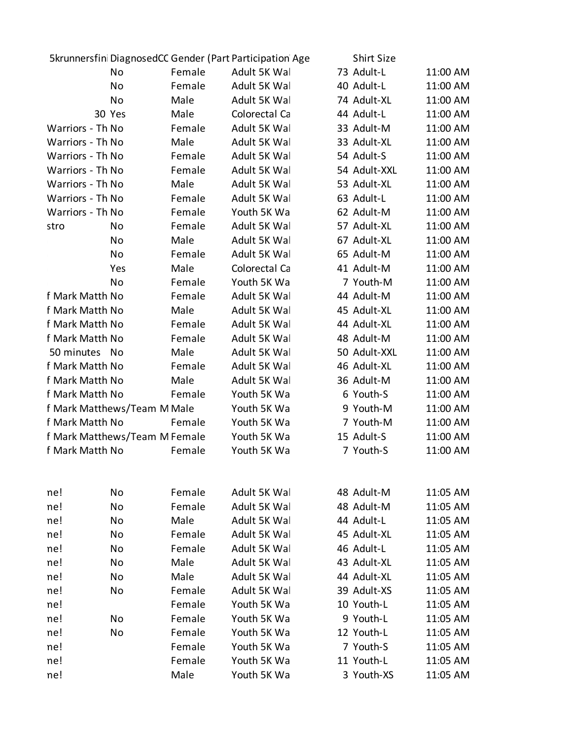|                  |                               |        | 5krunnersfin DiagnosedCC Gender (Part Participation Age | <b>Shirt Size</b> |          |
|------------------|-------------------------------|--------|---------------------------------------------------------|-------------------|----------|
|                  | No                            | Female | Adult 5K Wal                                            | 73 Adult-L        | 11:00 AM |
|                  | No                            | Female | Adult 5K Wal                                            | 40 Adult-L        | 11:00 AM |
|                  | No                            | Male   | Adult 5K Wal                                            | 74 Adult-XL       | 11:00 AM |
|                  | 30 Yes                        | Male   | Colorectal Ca                                           | 44 Adult-L        | 11:00 AM |
| Warriors - Th No |                               | Female | Adult 5K Wal                                            | 33 Adult-M        | 11:00 AM |
| Warriors - Th No |                               | Male   | Adult 5K Wal                                            | 33 Adult-XL       | 11:00 AM |
| Warriors - Th No |                               | Female | Adult 5K Wal                                            | 54 Adult-S        | 11:00 AM |
| Warriors - Th No |                               | Female | Adult 5K Wal                                            | 54 Adult-XXL      | 11:00 AM |
| Warriors - Th No |                               | Male   | Adult 5K Wal                                            | 53 Adult-XL       | 11:00 AM |
| Warriors - Th No |                               | Female | Adult 5K Wal                                            | 63 Adult-L        | 11:00 AM |
| Warriors - Th No |                               | Female | Youth 5K Wa                                             | 62 Adult-M        | 11:00 AM |
| stro             | No                            | Female | Adult 5K Wal                                            | 57 Adult-XL       | 11:00 AM |
|                  | No                            | Male   | Adult 5K Wal                                            | 67 Adult-XL       | 11:00 AM |
|                  | No                            | Female | Adult 5K Wal                                            | 65 Adult-M        | 11:00 AM |
|                  | Yes                           | Male   | Colorectal Ca                                           | 41 Adult-M        | 11:00 AM |
|                  | No                            | Female | Youth 5K Wa                                             | 7 Youth-M         | 11:00 AM |
| f Mark Matth No  |                               | Female | Adult 5K Wal                                            | 44 Adult-M        | 11:00 AM |
| f Mark Matth No  |                               | Male   | Adult 5K Wal                                            | 45 Adult-XL       | 11:00 AM |
| f Mark Matth No  |                               | Female | Adult 5K Wal                                            | 44 Adult-XL       | 11:00 AM |
| f Mark Matth No  |                               | Female | Adult 5K Wal                                            | 48 Adult-M        | 11:00 AM |
| 50 minutes No    |                               | Male   | Adult 5K Wal                                            | 50 Adult-XXL      | 11:00 AM |
| f Mark Matth No  |                               | Female | Adult 5K Wal                                            | 46 Adult-XL       | 11:00 AM |
| f Mark Matth No  |                               | Male   | Adult 5K Wal                                            | 36 Adult-M        | 11:00 AM |
| f Mark Matth No  |                               | Female | Youth 5K Wa                                             | 6 Youth-S         | 11:00 AM |
|                  | f Mark Matthews/Team M Male   |        | Youth 5K Wa                                             | 9 Youth-M         | 11:00 AM |
| f Mark Matth No  |                               | Female | Youth 5K Wa                                             | 7 Youth-M         | 11:00 AM |
|                  | f Mark Matthews/Team M Female |        | Youth 5K Wa                                             | 15 Adult-S        | 11:00 AM |
| f Mark Matth No  |                               | Female | Youth 5K Wa                                             | 7 Youth-S         | 11:00 AM |
| ne!              | No                            | Female | Adult 5K Wal                                            | 48 Adult-M        | 11:05 AM |
| ne!              | No                            | Female | Adult 5K Wal                                            | 48 Adult-M        | 11:05 AM |
| ne!              | No                            | Male   | Adult 5K Wal                                            | 44 Adult-L        | 11:05 AM |
| ne!              | No                            | Female | Adult 5K Wal                                            | 45 Adult-XL       | 11:05 AM |
| ne!              | No                            | Female | Adult 5K Wal                                            | 46 Adult-L        | 11:05 AM |
| ne!              | No                            | Male   | Adult 5K Wal                                            | 43 Adult-XL       | 11:05 AM |
| ne!              | No                            | Male   | Adult 5K Wal                                            | 44 Adult-XL       | 11:05 AM |
| ne!              | No                            | Female | Adult 5K Wal                                            | 39 Adult-XS       | 11:05 AM |
| ne!              |                               | Female | Youth 5K Wa                                             | 10 Youth-L        | 11:05 AM |
| ne!              | No                            | Female | Youth 5K Wa                                             | 9 Youth-L         | 11:05 AM |
| ne!              | No                            | Female | Youth 5K Wa                                             | 12 Youth-L        | 11:05 AM |
| ne!              |                               | Female | Youth 5K Wa                                             | 7 Youth-S         | 11:05 AM |
| ne!              |                               | Female | Youth 5K Wa                                             | 11 Youth-L        | 11:05 AM |
| ne!              |                               | Male   | Youth 5K Wa                                             | 3 Youth-XS        | 11:05 AM |
|                  |                               |        |                                                         |                   |          |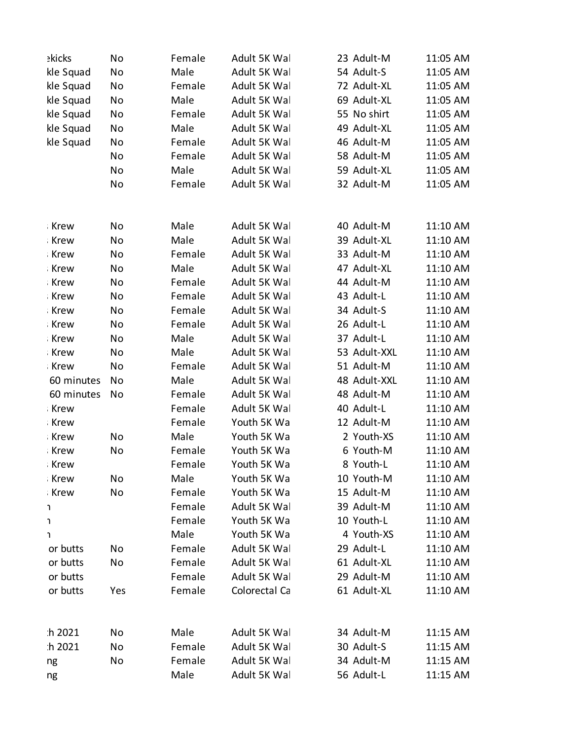| ekicks         | No  | Female | Adult 5K Wal  | 23 Adult-M   | 11:05 AM |
|----------------|-----|--------|---------------|--------------|----------|
| kle Squad      | No  | Male   | Adult 5K Wal  | 54 Adult-S   | 11:05 AM |
| kle Squad      | No  | Female | Adult 5K Wal  | 72 Adult-XL  | 11:05 AM |
| kle Squad      | No  | Male   | Adult 5K Wal  | 69 Adult-XL  | 11:05 AM |
| kle Squad      | No  | Female | Adult 5K Wal  | 55 No shirt  | 11:05 AM |
| kle Squad      | No  | Male   | Adult 5K Wal  | 49 Adult-XL  | 11:05 AM |
| kle Squad      | No  | Female | Adult 5K Wal  | 46 Adult-M   | 11:05 AM |
|                | No  | Female | Adult 5K Wal  | 58 Adult-M   | 11:05 AM |
|                | No  | Male   | Adult 5K Wal  | 59 Adult-XL  | 11:05 AM |
|                | No  | Female | Adult 5K Wal  | 32 Adult-M   | 11:05 AM |
| Krew           | No  | Male   | Adult 5K Wal  | 40 Adult-M   | 11:10 AM |
| <b>Krew</b>    | No  | Male   | Adult 5K Wal  | 39 Adult-XL  | 11:10 AM |
| Krew           | No  | Female | Adult 5K Wal  | 33 Adult-M   | 11:10 AM |
| Krew           | No  | Male   | Adult 5K Wal  | 47 Adult-XL  | 11:10 AM |
| Krew           | No  | Female | Adult 5K Wal  | 44 Adult-M   | 11:10 AM |
| <b>Krew</b>    | No  | Female | Adult 5K Wal  | 43 Adult-L   | 11:10 AM |
| Krew           | No  | Female | Adult 5K Wal  | 34 Adult-S   | 11:10 AM |
| Krew           | No  | Female | Adult 5K Wal  | 26 Adult-L   | 11:10 AM |
| Krew           | No  | Male   | Adult 5K Wal  | 37 Adult-L   | 11:10 AM |
| Krew           | No  | Male   | Adult 5K Wal  | 53 Adult-XXL | 11:10 AM |
| Krew           | No  | Female | Adult 5K Wal  | 51 Adult-M   | 11:10 AM |
| 60 minutes     | No  | Male   | Adult 5K Wal  | 48 Adult-XXL | 11:10 AM |
| 60 minutes     | No  | Female | Adult 5K Wal  | 48 Adult-M   | 11:10 AM |
| <b>Krew</b>    |     | Female | Adult 5K Wal  | 40 Adult-L   | 11:10 AM |
| Krew           |     | Female | Youth 5K Wa   | 12 Adult-M   | 11:10 AM |
| Krew           | No  | Male   | Youth 5K Wa   | 2 Youth-XS   | 11:10 AM |
| <b>Krew</b>    | No  | Female | Youth 5K Wa   | 6 Youth-M    | 11:10 AM |
| Krew           |     | Female | Youth 5K Wa   | 8 Youth-L    | 11:10 AM |
| Krew           | No  | Male   | Youth 5K Wa   | 10 Youth-M   | 11:10 AM |
| <b>Krew</b>    | No  | Female | Youth 5K Wa   | 15 Adult-M   | 11:10 AM |
| J.             |     | Female | Adult 5K Wal  | 39 Adult-M   | 11:10 AM |
| J.             |     | Female | Youth 5K Wa   | 10 Youth-L   | 11:10 AM |
|                |     | Male   | Youth 5K Wa   | 4 Youth-XS   | 11:10 AM |
| J.<br>or butts | No  | Female | Adult 5K Wal  | 29 Adult-L   | 11:10 AM |
| or butts       | No  | Female | Adult 5K Wal  | 61 Adult-XL  | 11:10 AM |
| or butts       |     | Female | Adult 5K Wal  | 29 Adult-M   | 11:10 AM |
| or butts       | Yes | Female | Colorectal Ca | 61 Adult-XL  | 11:10 AM |
|                |     |        |               |              |          |
| h 2021         | No  | Male   | Adult 5K Wal  | 34 Adult-M   | 11:15 AM |
| h 2021         | No  | Female | Adult 5K Wal  | 30 Adult-S   | 11:15 AM |
| ng             | No  | Female | Adult 5K Wal  | 34 Adult-M   | 11:15 AM |
| ng             |     | Male   | Adult 5K Wal  | 56 Adult-L   | 11:15 AM |
|                |     |        |               |              |          |